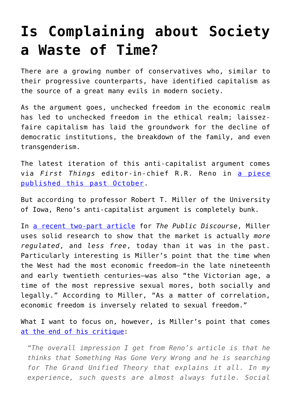## **[Is Complaining about Society](https://intellectualtakeout.org/2017/12/is-complaining-about-society-a-waste-of-time/) [a Waste of Time?](https://intellectualtakeout.org/2017/12/is-complaining-about-society-a-waste-of-time/)**

There are a growing number of conservatives who, similar to their progressive counterparts, have identified capitalism as the source of a great many evils in modern society.

As the argument goes, unchecked freedom in the economic realm has led to unchecked freedom in the ethical realm; laissezfaire capitalism has laid the groundwork for the decline of democratic institutions, the breakdown of the family, and even transgenderism.

The latest iteration of this anti-capitalist argument comes via *First Things* editor-in-chief R.R. Reno in [a piece](https://www.firstthings.com/article/2017/10/the-spirit-of-democratic-capitalism?utm_source=The+Witherspoon+Institute&utm_campaign=4f8c3cdbed-RSS_EMAIL_CAMPAIGN&utm_medium=email&utm_term=0_15ce6af37b-4f8c3cdbed-84111917) [published this past October.](https://www.firstthings.com/article/2017/10/the-spirit-of-democratic-capitalism?utm_source=The+Witherspoon+Institute&utm_campaign=4f8c3cdbed-RSS_EMAIL_CAMPAIGN&utm_medium=email&utm_term=0_15ce6af37b-4f8c3cdbed-84111917)

But according to professor Robert T. Miller of the University of Iowa, Reno's anti-capitalist argument is completely bunk.

In [a recent two-part article](http://www.thepublicdiscourse.com/2017/12/20707/) for *The Public Discourse*, Miller uses solid research to show that the market is actually *more regulated*, and *less free*, today than it was in the past. Particularly interesting is Miller's point that the time when the West had the most economic freedom—in the late nineteenth and early twentieth centuries—was also "the Victorian age, a time of the most repressive sexual mores, both socially and legally." According to Miller, "As a matter of correlation, economic freedom is inversely related to sexual freedom."

What I want to focus on, however, is Miller's point that comes [at the end of his critique:](http://www.thepublicdiscourse.com/2017/12/20672/)

*"The overall impression I get from Reno's article is that he thinks that Something Has Gone Very Wrong and he is searching for The Grand Unified Theory that explains it all. In my experience, such quests are almost always futile. Social*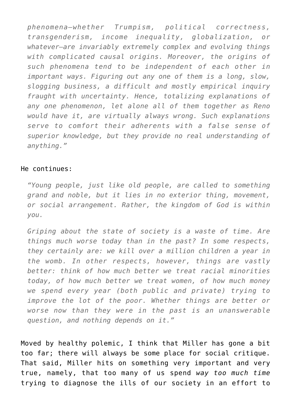*phenomena—whether Trumpism, political correctness, transgenderism, income inequality, globalization, or whatever—are invariably extremely complex and evolving things with complicated causal origins. Moreover, the origins of such phenomena tend to be independent of each other in important ways. Figuring out any one of them is a long, slow, slogging business, a difficult and mostly empirical inquiry fraught with uncertainty. Hence, totalizing explanations of any one phenomenon, let alone all of them together as Reno would have it, are virtually always wrong. Such explanations serve to comfort their adherents with a false sense of superior knowledge, but they provide no real understanding of anything."*

## He continues:

*"Young people, just like old people, are called to something grand and noble, but it lies in no exterior thing, movement, or social arrangement. Rather, the kingdom of God is within you.*

*Griping about the state of society is a waste of time. Are things much worse today than in the past? In some respects, they certainly are: we kill over a million children a year in the womb. In other respects, however, things are vastly better: think of how much better we treat racial minorities today, of how much better we treat women, of how much money we spend every year (both public and private) trying to improve the lot of the poor. Whether things are better or worse now than they were in the past is an unanswerable question, and nothing depends on it."*

Moved by healthy polemic, I think that Miller has gone a bit too far; there will always be some place for social critique. That said, Miller hits on something very important and very true, namely, that too many of us spend *way too much time* trying to diagnose the ills of our society in an effort to